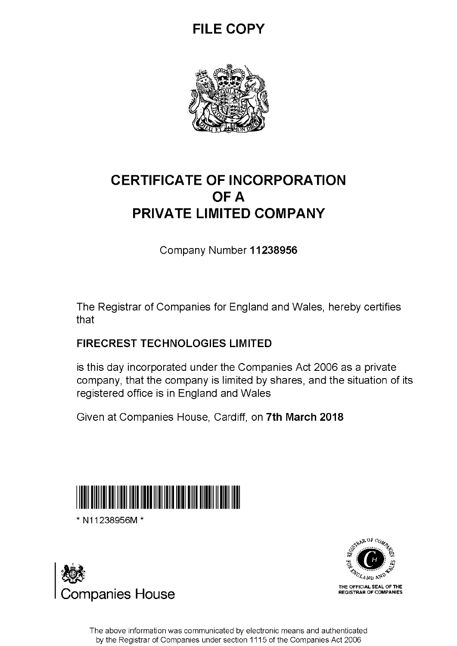## **FILE COPY**



## **CERTIFICATE OF INCORPORATION OFA PRIVATE LIMITED COMPANY**

Company Number **11238956** 

The Registrar of Companies for England and Wales, hereby certifies that

### **FIRECREST TECHNOLOGIES LIMITED**

is this day incorporated under the Companies Act 2006 as a private company, that the company is limited by shares, and the situation of its registered office is in England and Wales

Given at Companies House, Cardiff, on **7th March 2018** 



\* N11238956M \*





The above information was communicated by electronic means and authenticated by the Registrar of Companies under section 1115 of the Companies Act 2006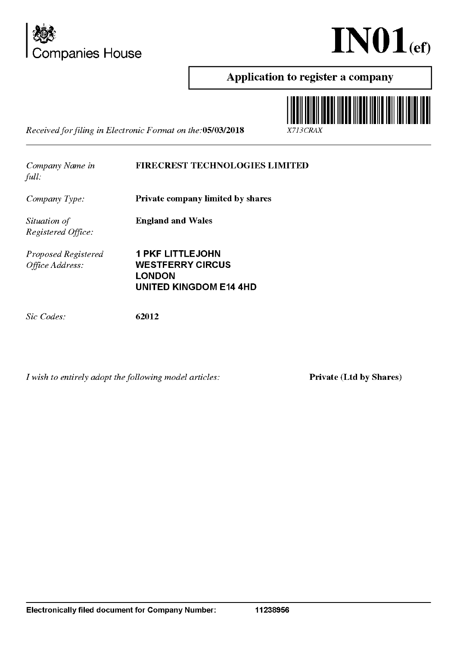



### Application to register a company I



*Received for filing in Electronic F annat on the:OS/0312018* X713CRAX

*Company Name in full:* 

### FIRECREST TECHNOLOGIES LIMITED

*Company Type:* 

Private company limited by shares

England and Wales

*Situation of Registered Office:* 

*Proposed Registered Office Address:* 

1 PKF LITTLEJOHN WESTFERRY CIRCUS **LONDON** UNITED KINGDOM E14 4HD

*Sic Codes:* 

62012

*I wish to entirely adopt the following model articles:* 

Private (Ltd by Shares)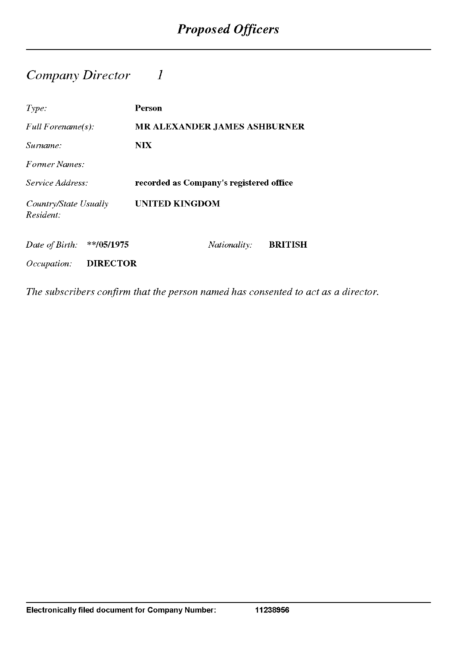### *Company Director 1*

| Type:                              | Person                                  |
|------------------------------------|-----------------------------------------|
| Full Forename $(s)$ :              | <b>MR ALEXANDER JAMES ASHBURNER</b>     |
| Surname:                           | NIX.                                    |
| Former Names:                      |                                         |
| Service Address:                   | recorded as Company's registered office |
| Country/State Usually<br>Resident: | UNITED KINGDOM                          |
| $**/05/1975$<br>Date of Birth:     | <b>BRITISH</b><br><i>Nationality:</i>   |
| <b>DIRECTOR</b><br>Occupation:     |                                         |

*The subscribers confirm that the person named has consented to act as a director.*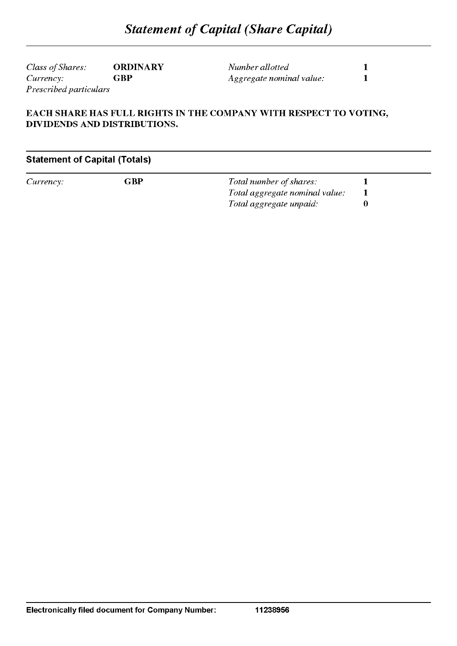*Class of Shares:* **ORDINARY**   $Currence$ *Prescribed particulars* 

*Number allotted Aggregate nominal value:*  **1 1** 

### **EACH SHARE HAS FULL RIGHTS IN THE COMPANY WITH RESPECT TO VOTING, DIVIDENDS AND DISTRIBUTIONS.**

### **Statement of Capital (Totals)**

*Currency:* **GBP** 

*Total number of shares: Total aggregate nominal value: Total aggregate unpaid:*  **1 1 0** 

**11238956**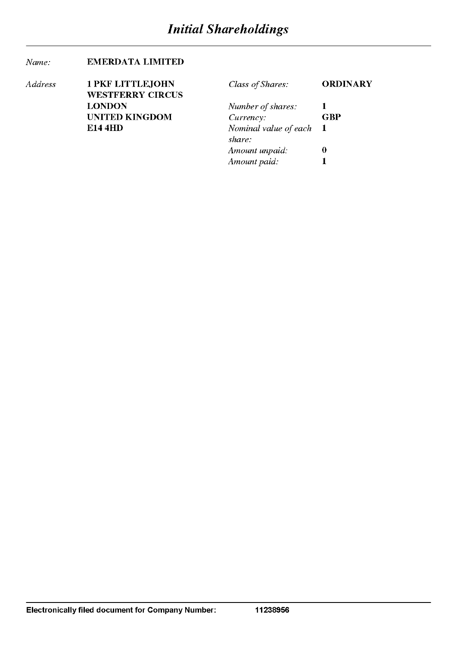*Amount paid:* 1

#### *Name:*  EMERDATA LIMITED

| Address | <b>1 PKF LITTLEJOHN</b> | Class of Shares:      | <b>ORDINARY</b> |
|---------|-------------------------|-----------------------|-----------------|
|         | <b>WESTFERRY CIRCUS</b> |                       |                 |
|         | <b>LONDON</b>           | Number of shares:     |                 |
|         | <b>UNITED KINGDOM</b>   | Currency:             | <b>GBP</b>      |
|         | <b>E14 4HD</b>          | Nominal value of each |                 |
|         |                         | share:                |                 |
|         |                         | Amount unpaid:        | 0               |
|         |                         | Amount paid:          |                 |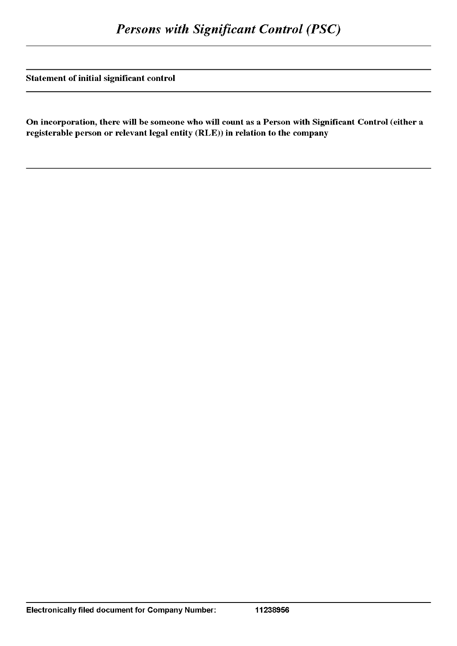Statement of initial significant control

On incorporation, there will be someone who will count as a Person with Significant Control (either a registerable person or relevant legal entity (RLE)) in relation to the company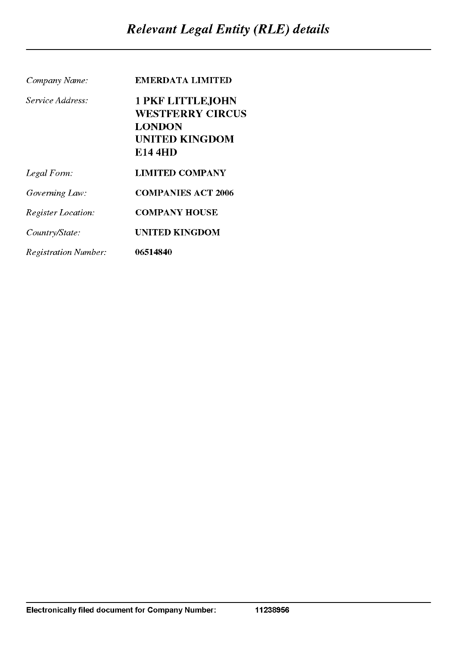| Company Name:               | EMERDATA LIMITED          |
|-----------------------------|---------------------------|
| Service Address:            | <b>1 PKF LITTLEJOHN</b>   |
|                             | <b>WESTFERRY CIRCUS</b>   |
|                             | <b>LONDON</b>             |
|                             | <b>UNITED KINGDOM</b>     |
|                             | <b>E14 4HD</b>            |
| Legal Form:                 | <b>LIMITED COMPANY</b>    |
| Governing Law:              | <b>COMPANIES ACT 2006</b> |
| <b>Register Location:</b>   | <b>COMPANY HOUSE</b>      |
| Country/State:              | UNITED KINGDOM            |
| <b>Registration Number:</b> | 06514840                  |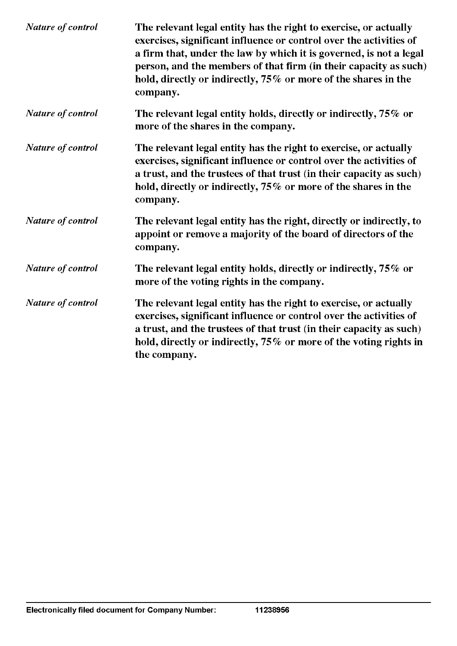| Nature of control | The relevant legal entity has the right to exercise, or actually<br>exercises, significant influence or control over the activities of<br>a firm that, under the law by which it is governed, is not a legal<br>person, and the members of that firm (in their capacity as such)<br>hold, directly or indirectly, 75% or more of the shares in the<br>company. |
|-------------------|----------------------------------------------------------------------------------------------------------------------------------------------------------------------------------------------------------------------------------------------------------------------------------------------------------------------------------------------------------------|
| Nature of control | The relevant legal entity holds, directly or indirectly, 75% or<br>more of the shares in the company.                                                                                                                                                                                                                                                          |
| Nature of control | The relevant legal entity has the right to exercise, or actually<br>exercises, significant influence or control over the activities of<br>a trust, and the trustees of that trust (in their capacity as such)<br>hold, directly or indirectly, 75% or more of the shares in the<br>company.                                                                    |
| Nature of control | The relevant legal entity has the right, directly or indirectly, to<br>appoint or remove a majority of the board of directors of the<br>company.                                                                                                                                                                                                               |
| Nature of control | The relevant legal entity holds, directly or indirectly, 75% or<br>more of the voting rights in the company.                                                                                                                                                                                                                                                   |
| Nature of control | The relevant legal entity has the right to exercise, or actually<br>exercises, significant influence or control over the activities of<br>a trust, and the trustees of that trust (in their capacity as such)<br>hold, directly or indirectly, 75% or more of the voting rights in<br>the company.                                                             |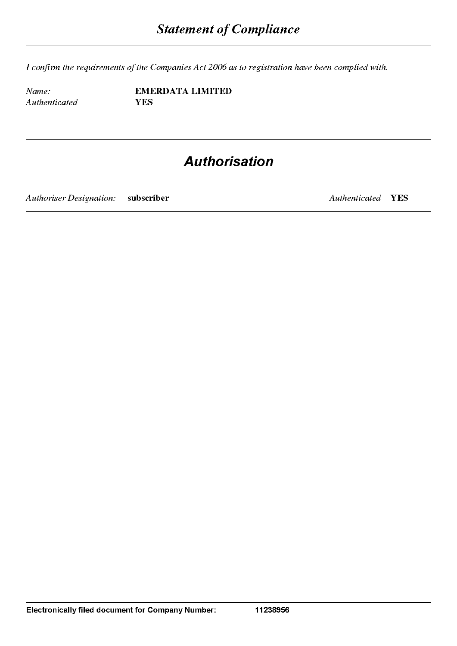*I confinn the requirements of the Companies Act 2006 as to registration have been complied with.* 

*Name: Authenticated*  **EMERDATA LIMITED YES** 

## **Authorisation**

*Authoriser Designation:* **subscriber** 

*Authenticated* **YES**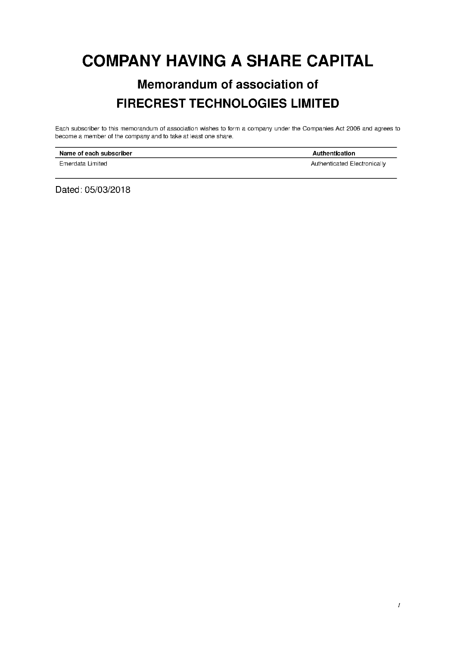## **COMPANY HAVING A SHARE CAPITAL**

## **Memorandum of association of FIRECREST TECHNOLOGIES LIMITED**

Each subscriber to this memorandum of association wishes to form a company under the Companies Act 2006 and agrees to become a member of the company and to take at least one share.

| Name of each subscriber | Authentication               |
|-------------------------|------------------------------|
| Emerdata Limited        | Authenticated Electronically |

Dated: 05/03/2018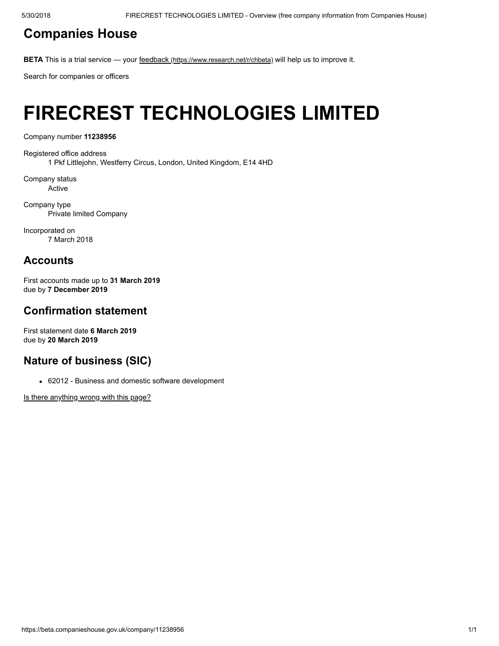### [Companies](https://beta.companieshouse.gov.uk/) House

BETA This is a trial service — your feedback [\(https://www.research.net/r/chbeta\)](https://www.research.net/r/chbeta) will help us to improve it.

Search for companies or officers

## FIRECREST TECHNOLOGIES LIMITED

Company number 11238956

Registered office address 1 Pkf Littlejohn, Westferry Circus, London, United Kingdom, E14 4HD

Company status Active

Company type Private limited Company

Incorporated on 7 March 2018

### **Accounts**

First accounts made up to 31 March 2019 due by 7 December 2019

### Confirmation statement

First statement date 6 March 2019 due by 20 March 2019

### Nature of business (SIC)

62012 - Business and domestic software development

[Is there anything wrong with this page?](javascript:void(0);)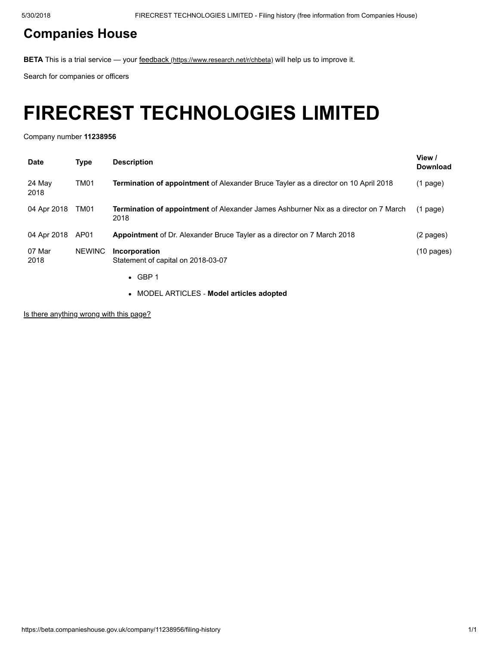### [Companies](https://beta.companieshouse.gov.uk/) House

BETA This is a trial service — your feedback [\(https://www.research.net/r/chbeta\)](https://www.research.net/r/chbeta) will help us to improve it.

Search for companies or officers

## FIRECREST TECHNOLOGIES LIMITED

Company number 11238956

| <b>Date</b>    | <b>Type</b>   | <b>Description</b>                                                                                  | View /<br><b>Download</b> |
|----------------|---------------|-----------------------------------------------------------------------------------------------------|---------------------------|
| 24 May<br>2018 | TM01          | <b>Termination of appointment</b> of Alexander Bruce Tayler as a director on 10 April 2018          | $(1$ page)                |
| 04 Apr 2018    | TM01          | <b>Termination of appointment</b> of Alexander James Ashburner Nix as a director on 7 March<br>2018 | $(1$ page)                |
| 04 Apr 2018    | AP01          | <b>Appointment</b> of Dr. Alexander Bruce Tayler as a director on 7 March 2018                      | (2 pages)                 |
| 07 Mar<br>2018 | <b>NEWINC</b> | Incorporation<br>Statement of capital on 2018-03-07<br>$\bullet$ GBP 1                              | $(10 \text{ pages})$      |
|                |               |                                                                                                     |                           |

MODEL ARTICLES ‐ Model articles adopted

[Is there anything wrong with this page?](javascript:void(0);)